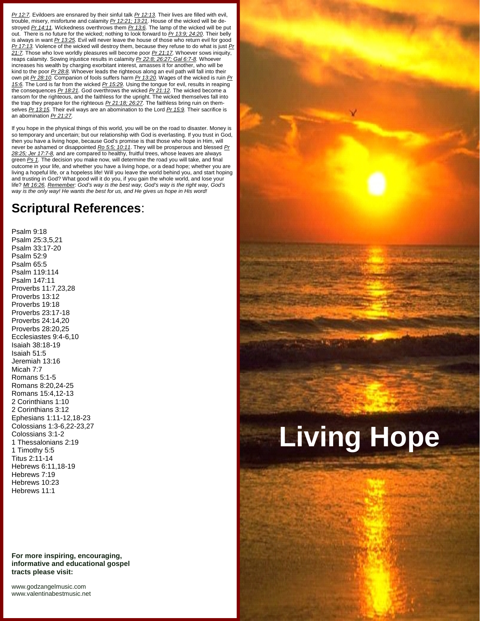*Pr 12:7.* Evildoers are ensnared by their sinful talk *Pr 12:13.* Their lives are filled with evil, trouble, misery, misfortune and calamity *Pr 12:21; 13:21.* House of the wicked will be de stroyed *Pr 14:11.* Wickedness overthrows them *Pr 13:6.* The lamp of the wicked will be put out. There is no future for the wicked; nothing to look forward to *Pr 13:9; 24:20*. Their belly is always in want *Pr 13:25.* Evil will never leave the house of those who return evil for good *Pr 17:13.* Violence of the wicked will destroy them, because they refuse to do what is just *Pr 21:7.* Those who love worldly pleasures will become poor *Pr 21:17.* Whoever sows iniquity, reaps calamity. Sowing injustice results in calamity *Pr 22:8; 26:27; Gal 6:7-8.* Whoever increases his wealth by charging exorbitant interest, amasses it for another, who will be kind to the poor *Pr 28:8.* Whoever leads the righteous along an evil path will fall into their own pit *Pr 28:10.* Companion of fools suffers harm *Pr 13:20.* Wages of the wicked is ruin *Pr 15:6.* The Lord is far from the wicked *Pr 15:29.* Using the tongue for evil, results in reaping the consequences *Pr 18:21.* God overthrows the wicked *Pr 21:12.* The wicked become a ransom for the righteous, and the faithless for the upright. The wicked themselves fall into the trap they prepare for the righteous *Pr 21:18; 26:27.* The faithless bring ruin on them selves *Pr 13:15.* Their evil ways are an abomination to the Lord *Pr 15:9.* Their sacrifice is an abomination *Pr 21:27.*

If you hope in the physical things of this world, you will be on the road to disaster. Money is so temporary and uncertain; but our relationship with God is everlasting. If you trust in God, then you have a living hope, because God's promise is that those who hope in Him, will never be ashamed or disappointed *Ro 5:5; 10:11*. They will be prosperous and blessed *Pr 28:25; Jer 17:7-8,* and are compared to healthy, fruitful trees, whose leaves are always green *Ps 1.* The decision you make now, will determine the road you will take, and final outcome in your life, and whether you have a living hope, or a dead hope; whether you are living a hopeful life, or a hopeless life! Will you leave the world behind you, and start hoping and trusting in God? What good will it do you, if you gain the whole world, and lose your life? *Mt 16:26. Remember: God's way is the best way, God's way is the right way, God's way is the only way! He wants the best for us, and He gives us hope in His word!*

## **Scriptural References**:

Psalm 9:18 Psalm 25:3,5,21 Psalm 33:17-20 Psalm 52:9 Psalm 65:5 Psalm 119:114 Psalm 147:11 Proverbs 11:7,23,28 Proverbs 13:12 Proverbs 19:18 Proverbs 23:17-18 Proverbs 24:14,20 Proverbs 28:20,25 Ecclesiastes 9:4-6,10 Isaiah 38:18-19 Isaiah 51:5 Jeremiah 13:16 Micah 7:7 Romans 5:1-5 Romans 8:20,24-25 Romans 15:4,12-13 2 Corinthians 1:10 2 Corinthians 3:12 Ephesians 1:11-12,18-23 Colossians 1:3-6,22-23,27 Colossians 3:1-2 1 Thessalonians 2:19 1 Timothy 5:5 Titus 2:11-14 Hebrews 6:11,18-19 Hebrews 7:19 Hebrews 10:23 Hebrews 11:1

**For more inspiring, encouraging, informative and educational gospel tracts please visit:**

<www.godzangelmusic.com> <www.valentinabestmusic.net>